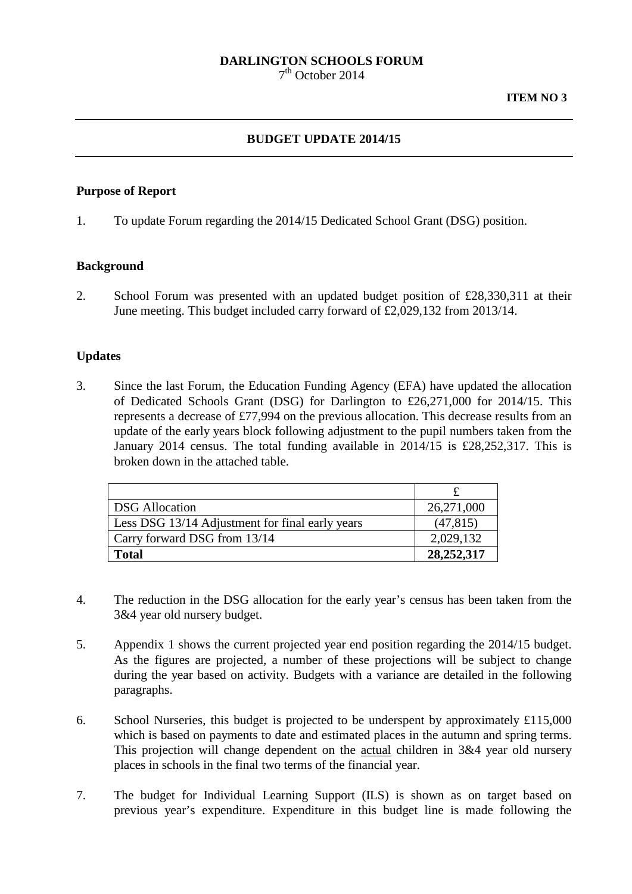# **DARLINGTON SCHOOLS FORUM**

 $7<sup>th</sup>$  October 2014

### **BUDGET UPDATE 2014/15**

#### **Purpose of Report**

1. To update Forum regarding the 2014/15 Dedicated School Grant (DSG) position.

#### **Background**

2. School Forum was presented with an updated budget position of £28,330,311 at their June meeting. This budget included carry forward of £2,029,132 from 2013/14.

#### **Updates**

3. Since the last Forum, the Education Funding Agency (EFA) have updated the allocation of Dedicated Schools Grant (DSG) for Darlington to £26,271,000 for 2014/15. This represents a decrease of £77,994 on the previous allocation. This decrease results from an update of the early years block following adjustment to the pupil numbers taken from the January 2014 census. The total funding available in 2014/15 is £28,252,317. This is broken down in the attached table.

| <b>DSG</b> Allocation                           | 26,271,000 |
|-------------------------------------------------|------------|
| Less DSG 13/14 Adjustment for final early years | (47, 815)  |
| Carry forward DSG from 13/14                    | 2,029,132  |
| <b>Total</b>                                    | 28,252,317 |

- 4. The reduction in the DSG allocation for the early year's census has been taken from the 3&4 year old nursery budget.
- 5. Appendix 1 shows the current projected year end position regarding the 2014/15 budget. As the figures are projected, a number of these projections will be subject to change during the year based on activity. Budgets with a variance are detailed in the following paragraphs.
- 6. School Nurseries, this budget is projected to be underspent by approximately £115,000 which is based on payments to date and estimated places in the autumn and spring terms. This projection will change dependent on the actual children in 3&4 year old nursery places in schools in the final two terms of the financial year.
- 7. The budget for Individual Learning Support (ILS) is shown as on target based on previous year's expenditure. Expenditure in this budget line is made following the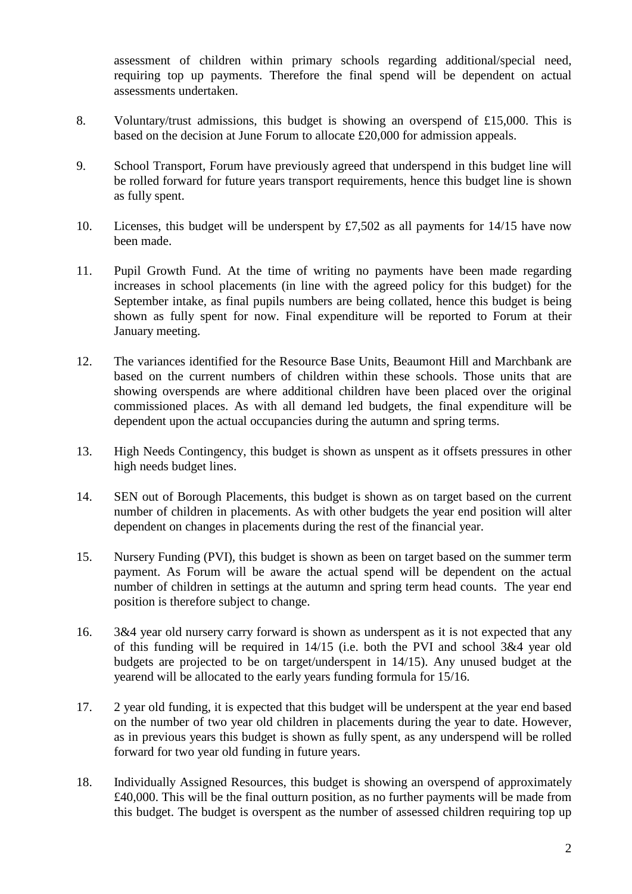assessment of children within primary schools regarding additional/special need, requiring top up payments. Therefore the final spend will be dependent on actual assessments undertaken.

- 8. Voluntary/trust admissions, this budget is showing an overspend of £15,000. This is based on the decision at June Forum to allocate £20,000 for admission appeals.
- 9. School Transport, Forum have previously agreed that underspend in this budget line will be rolled forward for future years transport requirements, hence this budget line is shown as fully spent.
- 10. Licenses, this budget will be underspent by £7,502 as all payments for 14/15 have now been made.
- 11. Pupil Growth Fund. At the time of writing no payments have been made regarding increases in school placements (in line with the agreed policy for this budget) for the September intake, as final pupils numbers are being collated, hence this budget is being shown as fully spent for now. Final expenditure will be reported to Forum at their January meeting.
- 12. The variances identified for the Resource Base Units, Beaumont Hill and Marchbank are based on the current numbers of children within these schools. Those units that are showing overspends are where additional children have been placed over the original commissioned places. As with all demand led budgets, the final expenditure will be dependent upon the actual occupancies during the autumn and spring terms.
- 13. High Needs Contingency, this budget is shown as unspent as it offsets pressures in other high needs budget lines.
- 14. SEN out of Borough Placements, this budget is shown as on target based on the current number of children in placements. As with other budgets the year end position will alter dependent on changes in placements during the rest of the financial year.
- 15. Nursery Funding (PVI), this budget is shown as been on target based on the summer term payment. As Forum will be aware the actual spend will be dependent on the actual number of children in settings at the autumn and spring term head counts. The year end position is therefore subject to change.
- 16. 3&4 year old nursery carry forward is shown as underspent as it is not expected that any of this funding will be required in 14/15 (i.e. both the PVI and school 3&4 year old budgets are projected to be on target/underspent in 14/15). Any unused budget at the yearend will be allocated to the early years funding formula for 15/16.
- 17. 2 year old funding, it is expected that this budget will be underspent at the year end based on the number of two year old children in placements during the year to date. However, as in previous years this budget is shown as fully spent, as any underspend will be rolled forward for two year old funding in future years.
- 18. Individually Assigned Resources, this budget is showing an overspend of approximately £40,000. This will be the final outturn position, as no further payments will be made from this budget. The budget is overspent as the number of assessed children requiring top up